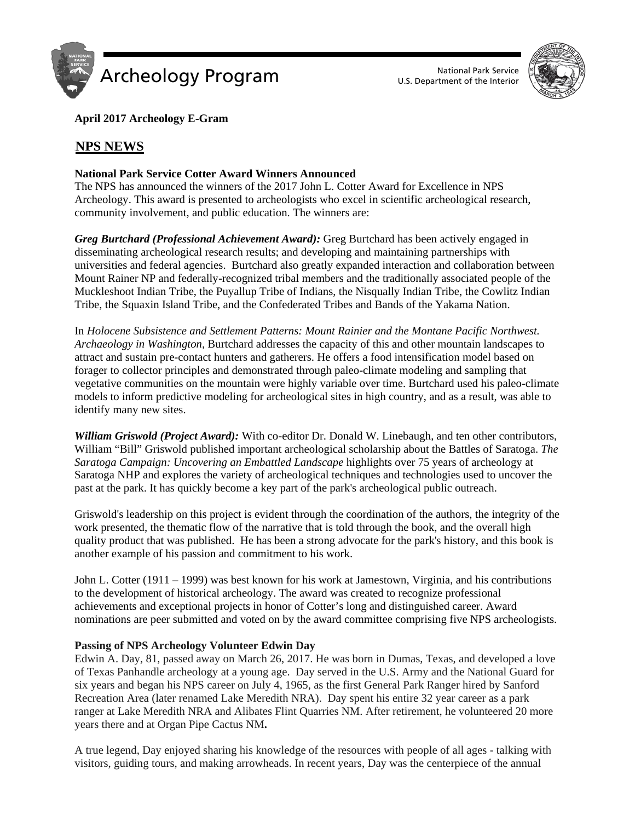



**April 2017 Archeology E-Gram**

# <sup>U</sup>**NPS NEWS**

## **National Park Service Cotter Award Winners Announced**

The NPS has announced the winners of the 2017 John L. Cotter Award for Excellence in NPS Archeology. This award is presented to archeologists who excel in scientific archeological research, community involvement, and public education. The winners are:

*Greg Burtchard (Professional Achievement Award):* Greg Burtchard has been actively engaged in disseminating archeological research results; and developing and maintaining partnerships with universities and federal agencies. Burtchard also greatly expanded interaction and collaboration between Mount Rainer NP and federally-recognized tribal members and the traditionally associated people of the Muckleshoot Indian Tribe, the Puyallup Tribe of Indians, the Nisqually Indian Tribe, the Cowlitz Indian Tribe, the Squaxin Island Tribe, and the Confederated Tribes and Bands of the Yakama Nation.

In *Holocene Subsistence and Settlement Patterns: Mount Rainier and the Montane Pacific Northwest. Archaeology in Washington,* Burtchard addresses the capacity of this and other mountain landscapes to attract and sustain pre-contact hunters and gatherers. He offers a food intensification model based on forager to collector principles and demonstrated through paleo-climate modeling and sampling that vegetative communities on the mountain were highly variable over time. Burtchard used his paleo-climate models to inform predictive modeling for archeological sites in high country, and as a result, was able to identify many new sites.

*William Griswold (Project Award):* With co-editor Dr. Donald W. Linebaugh, and ten other contributors, William "Bill" Griswold published important archeological scholarship about the Battles of Saratoga. *The Saratoga Campaign: Uncovering an Embattled Landscape* highlights over 75 years of archeology at Saratoga NHP and explores the variety of archeological techniques and technologies used to uncover the past at the park. It has quickly become a key part of the park's archeological public outreach.

Griswold's leadership on this project is evident through the coordination of the authors, the integrity of the work presented, the thematic flow of the narrative that is told through the book, and the overall high quality product that was published. He has been a strong advocate for the park's history, and this book is another example of his passion and commitment to his work.

John L. Cotter (1911 – 1999) was best known for his work at Jamestown, Virginia, and his contributions to the development of historical archeology. The award was created to recognize professional achievements and exceptional projects in honor of Cotter's long and distinguished career. Award nominations are peer submitted and voted on by the award committee comprising five NPS archeologists.

### **Passing of NPS Archeology Volunteer Edwin Day**

Edwin A. Day, 81, passed away on March 26, 2017. He was born in Dumas, Texas, and developed a love of Texas Panhandle archeology at a young age. Day served in the U.S. Army and the National Guard for six years and began his NPS career on July 4, 1965, as the first General Park Ranger hired by Sanford Recreation Area (later renamed Lake Meredith NRA). Day spent his entire 32 year career as a park ranger at Lake Meredith NRA and Alibates Flint Quarries NM. After retirement, he volunteered 20 more years there and at Organ Pipe Cactus NM**.**

A true legend, Day enjoyed sharing his knowledge of the resources with people of all ages - talking with visitors, guiding tours, and making arrowheads. In recent years, Day was the centerpiece of the annual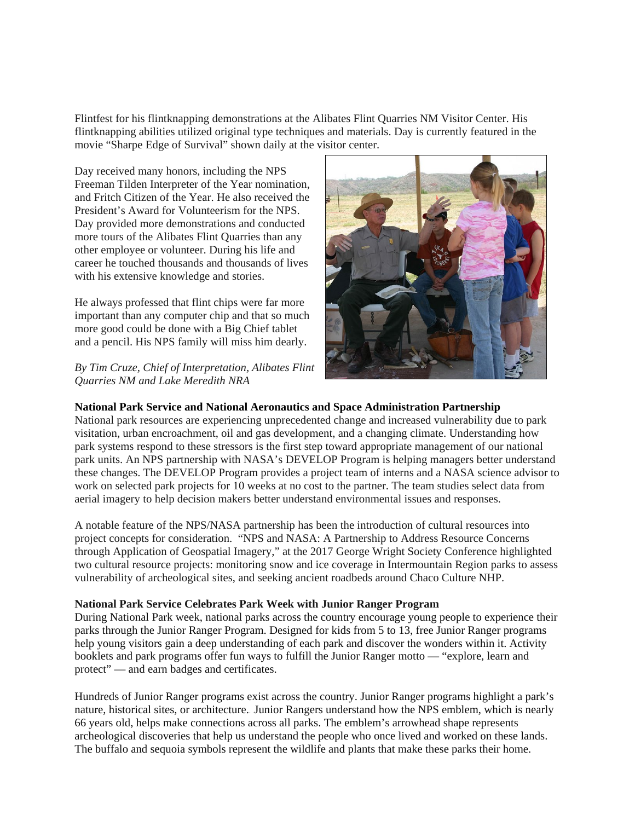Flintfest for his flintknapping demonstrations at the Alibates Flint Quarries NM Visitor Center. His flintknapping abilities utilized original type techniques and materials. Day is currently featured in the movie "Sharpe Edge of Survival" shown daily at the visitor center.

Day received many honors, including the NPS Freeman Tilden Interpreter of the Year nomination, and Fritch Citizen of the Year. He also received the President's Award for Volunteerism for the NPS. Day provided more demonstrations and conducted more tours of the Alibates Flint Quarries than any other employee or volunteer. During his life and career he touched thousands and thousands of lives with his extensive knowledge and stories.

He always professed that flint chips were far more important than any computer chip and that so much more good could be done with a Big Chief tablet and a pencil. His NPS family will miss him dearly.

*By Tim Cruze, Chief of Interpretation, Alibates Flint Quarries NM and Lake Meredith NRA*



## **National Park Service and National Aeronautics and Space Administration Partnership**

National park resources are experiencing unprecedented change and increased vulnerability due to park visitation, urban encroachment, oil and gas development, and a changing climate. Understanding how park systems respond to these stressors is the first step toward appropriate management of our national park units. An NPS partnership with NASA's DEVELOP Program is helping managers better understand these changes. The DEVELOP Program provides a project team of interns and a NASA science advisor to work on selected park projects for 10 weeks at no cost to the partner. The team studies select data from aerial imagery to help decision makers better understand environmental issues and responses.

A notable feature of the NPS/NASA partnership has been the introduction of cultural resources into project concepts for consideration. "NPS and NASA: A Partnership to Address Resource Concerns through Application of Geospatial Imagery," at the 2017 George Wright Society Conference highlighted two cultural resource projects: monitoring snow and ice coverage in Intermountain Region parks to assess vulnerability of archeological sites, and seeking ancient roadbeds around Chaco Culture NHP.

### **National Park Service Celebrates Park Week with Junior Ranger Program**

During National Park week, national parks across the country encourage young people to experience their parks through the Junior Ranger Program. Designed for kids from 5 to 13, free Junior Ranger programs help young visitors gain a deep understanding of each park and discover the wonders within it. Activity booklets and park programs offer fun ways to fulfill the Junior Ranger motto — "explore, learn and protect" — and earn badges and certificates.

Hundreds of Junior Ranger programs exist across the country. Junior Ranger programs highlight a park's nature, historical sites, or architecture. Junior Rangers understand how the NPS emblem, which is nearly 66 years old, helps make connections across all parks. The emblem's arrowhead shape represents archeological discoveries that help us understand the people who once lived and worked on these lands. The buffalo and sequoia symbols represent the wildlife and plants that make these parks their home.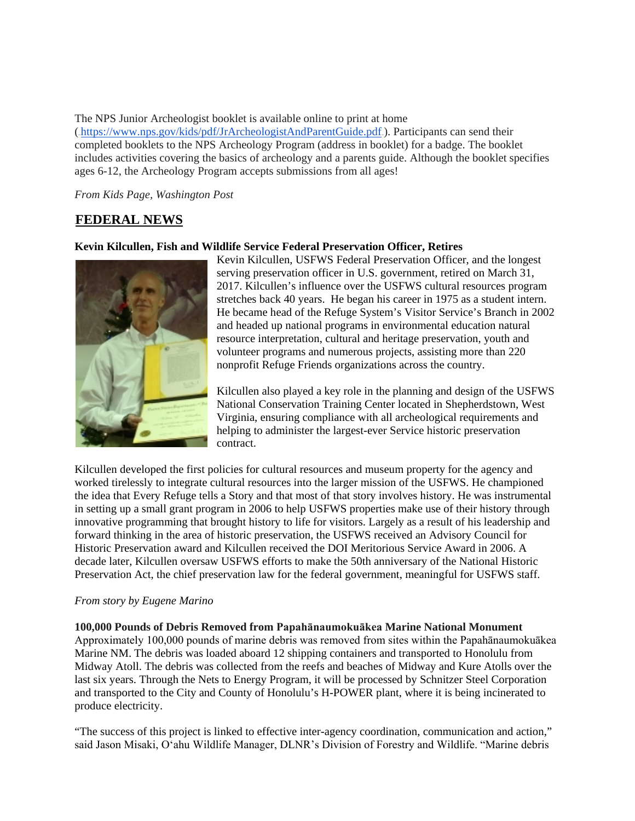The NPS Junior Archeologist booklet is available online to print at home (https://www.nps.gov/kids/pdf/JrArcheologistAndParentGuide.pdf). Participants can send their completed booklets to the NPS Archeology Program (address in booklet) for a badge. The booklet includes activities covering the basics of archeology and a parents guide. Although the booklet specifies ages 6-12, the Archeology Program accepts submissions from all ages!

*From Kids Page, Washington Post*

## **FEDERAL NEWS**

#### **Kevin Kilcullen, Fish and Wildlife Service Federal Preservation Officer, Retires**



Kevin Kilcullen, USFWS Federal Preservation Officer, and the longest serving preservation officer in U.S. government, retired on March 31, 2017. Kilcullen's influence over the USFWS cultural resources program stretches back 40 years. He began his career in 1975 as a student intern. He became head of the Refuge System's Visitor Service's Branch in 2002 and headed up national programs in environmental education natural resource interpretation, cultural and heritage preservation, youth and volunteer programs and numerous projects, assisting more than 220 nonprofit Refuge Friends organizations across the country.

Kilcullen also played a key role in the planning and design of the USFWS National Conservation Training Center located in Shepherdstown, West Virginia, ensuring compliance with all archeological requirements and helping to administer the largest-ever Service historic preservation contract.

Kilcullen developed the first policies for cultural resources and museum property for the agency and worked tirelessly to integrate cultural resources into the larger mission of the USFWS. He championed the idea that Every Refuge tells a Story and that most of that story involves history. He was instrumental in setting up a small grant program in 2006 to help USFWS properties make use of their history through innovative programming that brought history to life for visitors. Largely as a result of his leadership and forward thinking in the area of historic preservation, the USFWS received an Advisory Council for Historic Preservation award and Kilcullen received the DOI Meritorious Service Award in 2006. A decade later, Kilcullen oversaw USFWS efforts to make the 50th anniversary of the National Historic Preservation Act, the chief preservation law for the federal government, meaningful for USFWS staff.

#### *From story by Eugene Marino*

**100,000 Pounds of Debris Removed from Papahānaumokuākea Marine National Monument** Approximately 100,000 pounds of marine debris was removed from sites within the Papahānaumokuākea Marine NM. The debris was loaded aboard 12 shipping containers and transported to Honolulu from Midway Atoll. The debris was collected from the reefs and beaches of Midway and Kure Atolls over the last six years. Through the Nets to Energy Program, it will be processed by Schnitzer Steel Corporation and transported to the City and County of Honolulu's H-POWER plant, where it is being incinerated to produce electricity.

"The success of this project is linked to effective inter-agency coordination, communication and action," said Jason Misaki, Oʻahu Wildlife Manager, DLNR's Division of Forestry and Wildlife. "Marine debris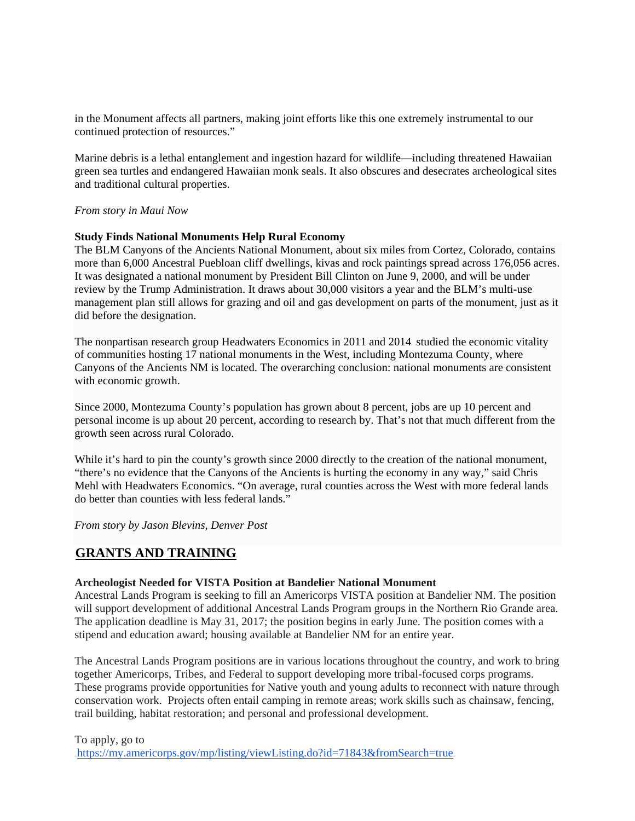in the Monument affects all partners, making joint efforts like this one extremely instrumental to our continued protection of resources."

Marine debris is a lethal entanglement and ingestion hazard for wildlife—including threatened Hawaiian green sea turtles and endangered Hawaiian monk seals. It also obscures and desecrates archeological sites and traditional cultural properties.

### *From story in Maui Now*

#### **Study Finds National Monuments Help Rural Economy**

The BLM Canyons of the Ancients National Monument, about six miles from Cortez, Colorado, contains more than 6,000 Ancestral Puebloan cliff dwellings, kivas and rock paintings spread across 176,056 acres. It was designated a national monument by President Bill Clinton on June 9, 2000, and will be under review by the Trump Administration. It draws about 30,000 visitors a year and the BLM's multi-use management plan still allows for grazing and oil and gas development on parts of the monument, just as it did before the designation.

The nonpartisan research group Headwaters Economics in  $2011$  and  $2014$  studied the economic vitality of communities hosting 17 national monuments in the West, including Montezuma County, where Canyons of the Ancients NM is located. The overarching conclusion: national monuments are consistent with economic growth.

Since 2000, Montezuma County's population has grown about 8 percent, jobs are up 10 percent and personal income is up about 20 percent, according to research by. That's not that much different from the growth seen across rural Colorado.

While it's hard to pin the county's growth since 2000 directly to the creation of the national monument, "there's no evidence that the Canyons of the Ancients is hurting the economy in any way," said Chris Mehl with Headwaters Economics. "On average, rural counties across the West with more federal lands do better than counties with less federal lands."

*From story by Jason Blevins, Denver Post*

## **GRANTS AND TRAINING**

#### **Archeologist Needed for VISTA Position at Bandelier National Monument**

Ancestral Lands Program is seeking to fill an Americorps VISTA position at Bandelier NM. The position will support development of additional Ancestral Lands Program groups in the Northern Rio Grande area. The application deadline is May 31, 2017; the position begins in early June. The position comes with a stipend and education award; housing available at Bandelier NM for an entire year.

The Ancestral Lands Program positions are in various locations throughout the country, and work to bring together Americorps, Tribes, and Federal to support developing more tribal-focused corps programs. These programs provide opportunities for Native youth and young adults to reconnect with nature through conservation work. Projects often entail camping in remote areas; work skills such as chainsaw, fencing, trail building, habitat restoration; and personal and professional development.

To apply, go to https://my.americorps.gov/mp/listing/viewListing.do?id=71843&fromSearch=true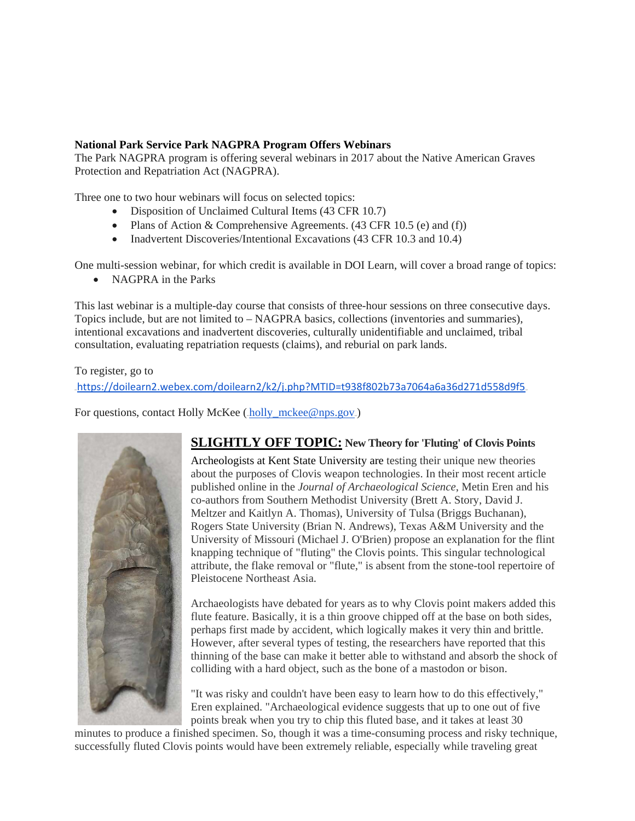### **National Park Service Park NAGPRA Program Offers Webinars**

The Park NAGPRA program is offering several webinars in 2017 about the Native American Graves Protection and Repatriation Act (NAGPRA).

Three one to two hour webinars will focus on selected topics:

- Disposition of Unclaimed Cultural Items (43 CFR 10.7)
- Plans of Action & Comprehensive Agreements. (43 CFR 10.5 (e) and (f))
- Inadvertent Discoveries/Intentional Excavations (43 CFR 10.3 and 10.4)

One multi-session webinar, for which credit is available in DOI Learn, will cover a broad range of topics:

• NAGPRA in the Parks

This last webinar is a multiple-day course that consists of three-hour sessions on three consecutive days. Topics include, but are not limited to – NAGPRA basics, collections (inventories and summaries), intentional excavations and inadvertent discoveries, culturally unidentifiable and unclaimed, tribal consultation, evaluating repatriation requests (claims), and reburial on park lands.

To register, go to .<https://doilearn2.webex.com/doilearn2/k2/j.php?MTID=t938f802b73a7064a6a36d271d558d9f5>.

For questions, contact Holly McKee (holly\_mckee@nps.gov)



## **SLIGHTLY OFF TOPIC: New Theory for 'Fluting' of Clovis Points**

Archeologists at Kent State University are testing their unique new theories about the purposes of Clovis weapon technologies. In their most recent article published online in the *Journal of Archaeological Science*, Metin Eren and his co-authors from Southern Methodist University (Brett A. Story, David J. Meltzer and Kaitlyn A. Thomas), University of Tulsa (Briggs Buchanan), Rogers State University (Brian N. Andrews), Texas A&M University and the University of Missouri (Michael J. O'Brien) propose an explanation for the flint knapping technique of "fluting" the Clovis points. This singular technological attribute, the flake removal or "flute," is absent from the stone-tool repertoire of Pleistocene Northeast Asia.

Archaeologists have debated for years as to why Clovis point makers added this flute feature. Basically, it is a thin groove chipped off at the base on both sides, perhaps first made by accident, which logically makes it very thin and brittle. However, after several types of testing, the researchers have reported that this thinning of the base can make it better able to withstand and absorb the shock of colliding with a hard object, such as the bone of a mastodon or bison.

"It was risky and couldn't have been easy to learn how to do this effectively," Eren explained. "Archaeological evidence suggests that up to one out of five points break when you try to chip this fluted base, and it takes at least 30

minutes to produce a finished specimen. So, though it was a time-consuming process and risky technique, successfully fluted Clovis points would have been extremely reliable, especially while traveling great